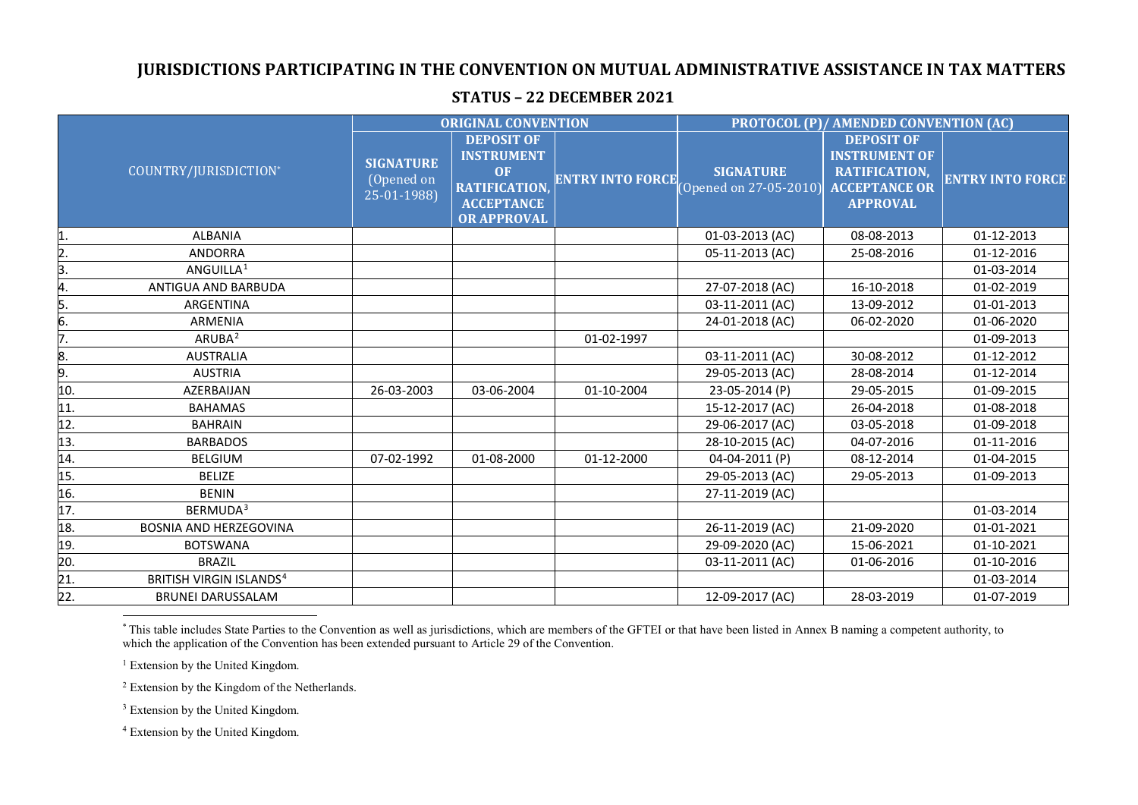## **JURISDICTIONS PARTICIPATING IN THE CONVENTION ON MUTUAL ADMINISTRATIVE ASSISTANCE IN TAX MATTERS**

## COUNTRY/JURISDICTION\* **ORIGINAL CONVENTION PROTOCOL (P)/ AMENDED CONVENTION (AC) SIGNATURE** (Opened on 25-01-1988) **DEPOSIT OF INSTRUMENT OF RATIFICATION, ACCEPTANCE OR APPROVAL ENTRY INTO FORCE SIGNATURE** (Opened on 27-05-2010) **DEPOSIT OF INSTRUMENT OF RATIFICATION, ACCEPTANCE OR APPROVAL ENTRY INTO FORCE** 1. ALBANIA 01-03-2013 (AC) 08-08-2013 01-12-2013 2. ANDORRA 05-11-2013 (AC) 25-08-2016 01-12-2016 3. ANGUILLA[1](#page-0-0) 01-03-2014 4. ANTIGUA AND BARBUDA 27-07-2018 (AC) 16-10-2018 01-02-2019 5. ARGENTINA 03-11-2011 (AC) 13-09-2012 01-01-2013 6. ARMENIA 24-01-2018 (AC) 06-02-2020 01-06-2020 7. ARUBA[2](#page-0-1) 01-02-1997 01-09-2013 8. AUSTRALIA 03-11-2011 (AC) 30-08-2012 01-12-2012 9. AUSTRIA 29-05-2013 (AC) 28-08-2014 01-12-2014 10. AZERBAIJAN 26-03-2003 03-06-2004 01-10-2004 23-05-2014 (P) 29-05-2015 01-09-2015 11. BAHAMAS 15-12-2017 (AC) 26-04-2018 01-08-2018 12. BAHRAIN 29-06-2017 (AC) 03-05-2018 01-09-2018 13. BARBADOS 28-10-2015 (AC) 04-07-2016 01-11-2016 14. BELGIUM 07-02-1992 01-08-2000 01-12-2000 04-04-2011 (P) 08-12-2014 01-04-2015 15. BELIZE 29-05-2013 (AC) 29-05-2013 01-09-2013 16. BENIN 27-11-2019 (AC) 17. BERMUDA[3](#page-0-2) 01-03-2014 18. BOSNIA AND HERZEGOVINA 26-11-2019 (AC) 21-09-2020 01-01-2021 19. BOTSWANA 29-09-2020 (AC) 15-06-2021 01-10-2021 20. BRAZIL 03-11-2011 (AC) 01-06-2016 01-10-2016 21. BRITISH VIRGIN ISLANDS[4](#page-0-3) 01-03-2014 22. BRUNEI DARUSSALAM 12-09-2017 (AC) 28-03-2019 01-07-2019

## <span id="page-0-3"></span><span id="page-0-2"></span><span id="page-0-1"></span><span id="page-0-0"></span>**STATUS – 22 DECEMBER 2021**

 \* This table includes State Parties to the Convention as well as jurisdictions, which are members of the GFTEI or that have been listed in Annex B naming a competent authority, to which the application of the Convention has been extended pursuant to Article 29 of the Convention.

<sup>1</sup> Extension by the United Kingdom.

<sup>2</sup> Extension by the Kingdom of the Netherlands.

<sup>3</sup> Extension by the United Kingdom.

<sup>4</sup> Extension by the United Kingdom.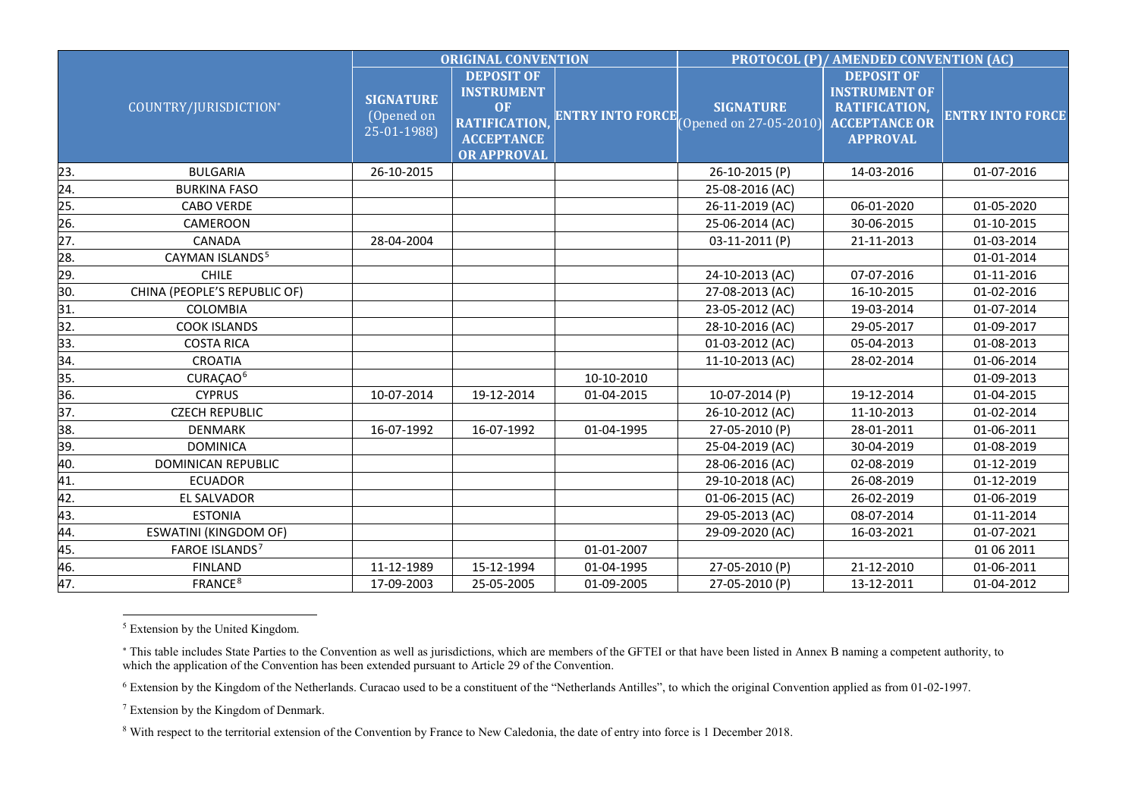<span id="page-1-3"></span><span id="page-1-2"></span><span id="page-1-1"></span><span id="page-1-0"></span>

|                       |                              | <b>ORIGINAL CONVENTION</b>                    |                                                                                                                 |                         | PROTOCOL (P)/ AMENDED CONVENTION (AC)      |                                                                                                       |                         |
|-----------------------|------------------------------|-----------------------------------------------|-----------------------------------------------------------------------------------------------------------------|-------------------------|--------------------------------------------|-------------------------------------------------------------------------------------------------------|-------------------------|
| COUNTRY/JURISDICTION* |                              | <b>SIGNATURE</b><br>(Opened on<br>25-01-1988) | <b>DEPOSIT OF</b><br><b>INSTRUMENT</b><br><b>OF</b><br>RATIFICATION,<br><b>ACCEPTANCE</b><br><b>OR APPROVAL</b> | <b>ENTRY INTO FORCE</b> | <b>SIGNATURE</b><br>(Opened on 27-05-2010) | <b>DEPOSIT OF</b><br><b>INSTRUMENT OF</b><br>RATIFICATION,<br><b>ACCEPTANCE OR</b><br><b>APPROVAL</b> | <b>ENTRY INTO FORCE</b> |
| 23.                   | <b>BULGARIA</b>              | 26-10-2015                                    |                                                                                                                 |                         | 26-10-2015 (P)                             | 14-03-2016                                                                                            | 01-07-2016              |
| 24.                   | <b>BURKINA FASO</b>          |                                               |                                                                                                                 |                         | 25-08-2016 (AC)                            |                                                                                                       |                         |
| 25.                   | <b>CABO VERDE</b>            |                                               |                                                                                                                 |                         | 26-11-2019 (AC)                            | 06-01-2020                                                                                            | 01-05-2020              |
| 26.                   | <b>CAMEROON</b>              |                                               |                                                                                                                 |                         | 25-06-2014 (AC)                            | 30-06-2015                                                                                            | 01-10-2015              |
| 27.                   | CANADA                       | 28-04-2004                                    |                                                                                                                 |                         | 03-11-2011 (P)                             | 21-11-2013                                                                                            | 01-03-2014              |
| 28.                   | CAYMAN ISLANDS <sup>5</sup>  |                                               |                                                                                                                 |                         |                                            |                                                                                                       | 01-01-2014              |
| 29.                   | <b>CHILE</b>                 |                                               |                                                                                                                 |                         | 24-10-2013 (AC)                            | 07-07-2016                                                                                            | 01-11-2016              |
| 30.                   | CHINA (PEOPLE'S REPUBLIC OF) |                                               |                                                                                                                 |                         | 27-08-2013 (AC)                            | 16-10-2015                                                                                            | 01-02-2016              |
| 31.                   | COLOMBIA                     |                                               |                                                                                                                 |                         | 23-05-2012 (AC)                            | 19-03-2014                                                                                            | 01-07-2014              |
| 32.                   | <b>COOK ISLANDS</b>          |                                               |                                                                                                                 |                         | 28-10-2016 (AC)                            | 29-05-2017                                                                                            | 01-09-2017              |
| 33.                   | <b>COSTA RICA</b>            |                                               |                                                                                                                 |                         | 01-03-2012 (AC)                            | 05-04-2013                                                                                            | 01-08-2013              |
| 34.                   | <b>CROATIA</b>               |                                               |                                                                                                                 |                         | 11-10-2013 (AC)                            | 28-02-2014                                                                                            | 01-06-2014              |
| 35.                   | CURAÇAO <sup>6</sup>         |                                               |                                                                                                                 | 10-10-2010              |                                            |                                                                                                       | 01-09-2013              |
| 36.                   | <b>CYPRUS</b>                | 10-07-2014                                    | 19-12-2014                                                                                                      | 01-04-2015              | 10-07-2014 (P)                             | 19-12-2014                                                                                            | 01-04-2015              |
| 37.                   | <b>CZECH REPUBLIC</b>        |                                               |                                                                                                                 |                         | 26-10-2012 (AC)                            | 11-10-2013                                                                                            | 01-02-2014              |
| 38.                   | <b>DENMARK</b>               | 16-07-1992                                    | 16-07-1992                                                                                                      | 01-04-1995              | 27-05-2010 (P)                             | 28-01-2011                                                                                            | 01-06-2011              |
| 39.                   | <b>DOMINICA</b>              |                                               |                                                                                                                 |                         | 25-04-2019 (AC)                            | 30-04-2019                                                                                            | 01-08-2019              |
| 40.                   | DOMINICAN REPUBLIC           |                                               |                                                                                                                 |                         | 28-06-2016 (AC)                            | 02-08-2019                                                                                            | 01-12-2019              |
| 41.                   | <b>ECUADOR</b>               |                                               |                                                                                                                 |                         | 29-10-2018 (AC)                            | 26-08-2019                                                                                            | 01-12-2019              |
| 42.                   | EL SALVADOR                  |                                               |                                                                                                                 |                         | 01-06-2015 (AC)                            | 26-02-2019                                                                                            | 01-06-2019              |
| 43.                   | <b>ESTONIA</b>               |                                               |                                                                                                                 |                         | 29-05-2013 (AC)                            | 08-07-2014                                                                                            | 01-11-2014              |
| 44.                   | <b>ESWATINI (KINGDOM OF)</b> |                                               |                                                                                                                 |                         | 29-09-2020 (AC)                            | 16-03-2021                                                                                            | 01-07-2021              |
| 45.                   | FAROE ISLANDS <sup>7</sup>   |                                               |                                                                                                                 | 01-01-2007              |                                            |                                                                                                       | 01 06 2011              |
| 46.                   | <b>FINLAND</b>               | 11-12-1989                                    | 15-12-1994                                                                                                      | 01-04-1995              | 27-05-2010 (P)                             | 21-12-2010                                                                                            | 01-06-2011              |
| 47.                   | FRANCE <sup>8</sup>          | 17-09-2003                                    | 25-05-2005                                                                                                      | 01-09-2005              | 27-05-2010 (P)                             | 13-12-2011                                                                                            | 01-04-2012              |

5 Extension by the United Kingdom.

<sup>6</sup> Extension by the Kingdom of the Netherlands. Curacao used to be a constituent of the "Netherlands Antilles", to which the original Convention applied as from 01-02-1997.

<sup>7</sup> Extension by the Kingdom of Denmark.

<sup>∗</sup> This table includes State Parties to the Convention as well as jurisdictions, which are members of the GFTEI or that have been listed in Annex B naming a competent authority, to which the application of the Convention has been extended pursuant to Article 29 of the Convention.

<sup>8</sup> With respect to the territorial extension of the Convention by France to New Caledonia, the date of entry into force is 1 December 2018.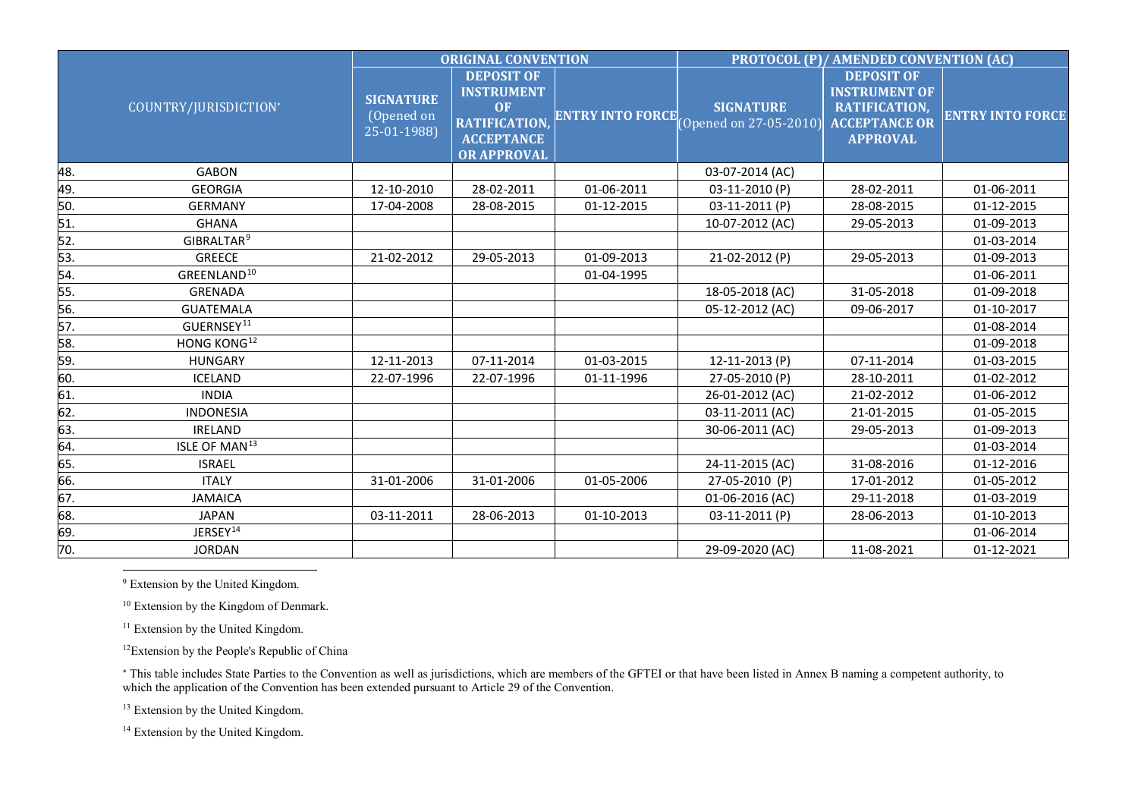<span id="page-2-5"></span><span id="page-2-4"></span><span id="page-2-3"></span><span id="page-2-2"></span><span id="page-2-1"></span><span id="page-2-0"></span>

|                       |                                               | <b>ORIGINAL CONVENTION</b>                                                                                      |                         |                                            | PROTOCOL (P)/ AMENDED CONVENTION (AC)                                                                 |                         |            |
|-----------------------|-----------------------------------------------|-----------------------------------------------------------------------------------------------------------------|-------------------------|--------------------------------------------|-------------------------------------------------------------------------------------------------------|-------------------------|------------|
| COUNTRY/JURISDICTION* | <b>SIGNATURE</b><br>(Opened on<br>25-01-1988) | <b>DEPOSIT OF</b><br><b>INSTRUMENT</b><br><b>OF</b><br>RATIFICATION,<br><b>ACCEPTANCE</b><br><b>OR APPROVAL</b> | <b>ENTRY INTO FORCE</b> | <b>SIGNATURE</b><br>(Opened on 27-05-2010) | <b>DEPOSIT OF</b><br><b>INSTRUMENT OF</b><br>RATIFICATION,<br><b>ACCEPTANCE OR</b><br><b>APPROVAL</b> | <b>ENTRY INTO FORCE</b> |            |
| 48.                   | <b>GABON</b>                                  |                                                                                                                 |                         |                                            | 03-07-2014 (AC)                                                                                       |                         |            |
| 49.                   | <b>GEORGIA</b>                                | 12-10-2010                                                                                                      | 28-02-2011              | 01-06-2011                                 | 03-11-2010 (P)                                                                                        | 28-02-2011              | 01-06-2011 |
| 50.                   | <b>GERMANY</b>                                | 17-04-2008                                                                                                      | 28-08-2015              | 01-12-2015                                 | 03-11-2011 (P)                                                                                        | 28-08-2015              | 01-12-2015 |
| 51.                   | <b>GHANA</b>                                  |                                                                                                                 |                         |                                            | 10-07-2012 (AC)                                                                                       | 29-05-2013              | 01-09-2013 |
| 52.                   | GIBRALTAR <sup>9</sup>                        |                                                                                                                 |                         |                                            |                                                                                                       |                         | 01-03-2014 |
| 53.                   | <b>GREECE</b>                                 | 21-02-2012                                                                                                      | 29-05-2013              | 01-09-2013                                 | 21-02-2012 (P)                                                                                        | 29-05-2013              | 01-09-2013 |
| 54.                   | GREENLAND <sup>10</sup>                       |                                                                                                                 |                         | 01-04-1995                                 |                                                                                                       |                         | 01-06-2011 |
| 55.                   | <b>GRENADA</b>                                |                                                                                                                 |                         |                                            | 18-05-2018 (AC)                                                                                       | 31-05-2018              | 01-09-2018 |
| 56.                   | <b>GUATEMALA</b>                              |                                                                                                                 |                         |                                            | 05-12-2012 (AC)                                                                                       | 09-06-2017              | 01-10-2017 |
| 57.                   | GUERNSEY <sup>11</sup>                        |                                                                                                                 |                         |                                            |                                                                                                       |                         | 01-08-2014 |
| 58.                   | HONG KONG <sup>12</sup>                       |                                                                                                                 |                         |                                            |                                                                                                       |                         | 01-09-2018 |
| 59.                   | <b>HUNGARY</b>                                | 12-11-2013                                                                                                      | 07-11-2014              | 01-03-2015                                 | 12-11-2013 (P)                                                                                        | 07-11-2014              | 01-03-2015 |
| 60.                   | <b>ICELAND</b>                                | 22-07-1996                                                                                                      | 22-07-1996              | 01-11-1996                                 | 27-05-2010 (P)                                                                                        | 28-10-2011              | 01-02-2012 |
| 61.                   | <b>INDIA</b>                                  |                                                                                                                 |                         |                                            | 26-01-2012 (AC)                                                                                       | 21-02-2012              | 01-06-2012 |
| 62.                   | <b>INDONESIA</b>                              |                                                                                                                 |                         |                                            | 03-11-2011 (AC)                                                                                       | 21-01-2015              | 01-05-2015 |
| 63.                   | <b>IRELAND</b>                                |                                                                                                                 |                         |                                            | 30-06-2011 (AC)                                                                                       | 29-05-2013              | 01-09-2013 |
| 64.                   | ISLE OF MAN <sup>13</sup>                     |                                                                                                                 |                         |                                            |                                                                                                       |                         | 01-03-2014 |
| 65.                   | <b>ISRAEL</b>                                 |                                                                                                                 |                         |                                            | 24-11-2015 (AC)                                                                                       | 31-08-2016              | 01-12-2016 |
| 66.                   | <b>ITALY</b>                                  | 31-01-2006                                                                                                      | 31-01-2006              | 01-05-2006                                 | 27-05-2010 (P)                                                                                        | 17-01-2012              | 01-05-2012 |
| 67.                   | <b>JAMAICA</b>                                |                                                                                                                 |                         |                                            | 01-06-2016 (AC)                                                                                       | 29-11-2018              | 01-03-2019 |
| 68.                   | <b>JAPAN</b>                                  | 03-11-2011                                                                                                      | 28-06-2013              | 01-10-2013                                 | 03-11-2011 (P)                                                                                        | 28-06-2013              | 01-10-2013 |
| 69.                   | JERSEY <sup>14</sup>                          |                                                                                                                 |                         |                                            |                                                                                                       |                         | 01-06-2014 |
| 70.                   | <b>JORDAN</b>                                 |                                                                                                                 |                         |                                            | 29-09-2020 (AC)                                                                                       | 11-08-2021              | 01-12-2021 |

9 Extension by the United Kingdom.

<sup>10</sup> Extension by the Kingdom of Denmark.

<sup>11</sup> Extension by the United Kingdom.

12Extension by the People's Republic of China

<sup>∗</sup> This table includes State Parties to the Convention as well as jurisdictions, which are members of the GFTEI or that have been listed in Annex B naming a competent authority, to which the application of the Convention has been extended pursuant to Article 29 of the Convention.

<sup>13</sup> Extension by the United Kingdom.

<sup>14</sup> Extension by the United Kingdom.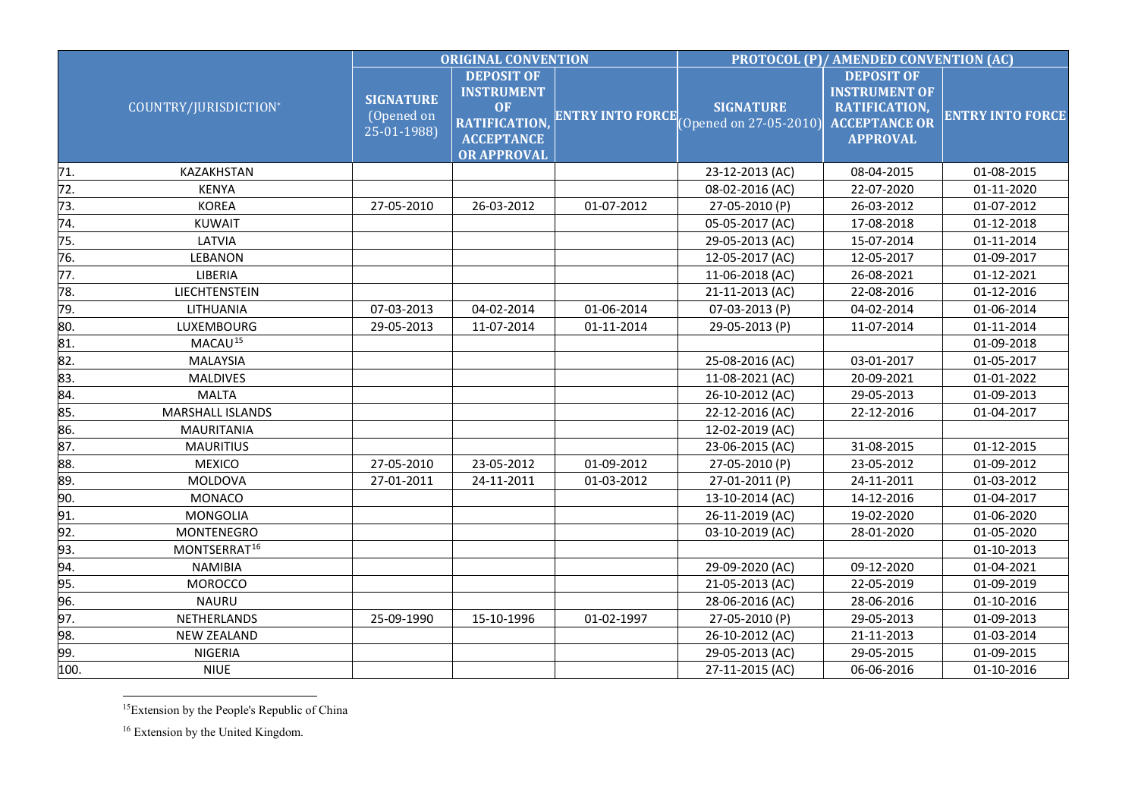<span id="page-3-1"></span><span id="page-3-0"></span>

|                 |                          | <b>ORIGINAL CONVENTION</b>                    |                                                                                                                 |                         | PROTOCOL (P)/ AMENDED CONVENTION (AC)                        |                                                                               |                         |
|-----------------|--------------------------|-----------------------------------------------|-----------------------------------------------------------------------------------------------------------------|-------------------------|--------------------------------------------------------------|-------------------------------------------------------------------------------|-------------------------|
|                 | COUNTRY/JURISDICTION*    | <b>SIGNATURE</b><br>(Opened on<br>25-01-1988) | <b>DEPOSIT OF</b><br><b>INSTRUMENT</b><br>OF<br><b>RATIFICATION,</b><br><b>ACCEPTANCE</b><br><b>OR APPROVAL</b> | <b>ENTRY INTO FORCE</b> | <b>SIGNATURE</b><br>$[Opened on 27-05-2010]$ $ACCEPTANCE OR$ | <b>DEPOSIT OF</b><br><b>INSTRUMENT OF</b><br>RATIFICATION,<br><b>APPROVAL</b> | <b>ENTRY INTO FORCE</b> |
| 71.             | KAZAKHSTAN               |                                               |                                                                                                                 |                         | 23-12-2013 (AC)                                              | 08-04-2015                                                                    | 01-08-2015              |
| 72.             | <b>KENYA</b>             |                                               |                                                                                                                 |                         | 08-02-2016 (AC)                                              | 22-07-2020                                                                    | 01-11-2020              |
| 73.             | <b>KOREA</b>             | 27-05-2010                                    | 26-03-2012                                                                                                      | 01-07-2012              | 27-05-2010 (P)                                               | 26-03-2012                                                                    | 01-07-2012              |
| 74.             | <b>KUWAIT</b>            |                                               |                                                                                                                 |                         | 05-05-2017 (AC)                                              | 17-08-2018                                                                    | 01-12-2018              |
| 75.             | LATVIA                   |                                               |                                                                                                                 |                         | 29-05-2013 (AC)                                              | 15-07-2014                                                                    | 01-11-2014              |
| 76.             | LEBANON                  |                                               |                                                                                                                 |                         | 12-05-2017 (AC)                                              | 12-05-2017                                                                    | 01-09-2017              |
| 77.             | LIBERIA                  |                                               |                                                                                                                 |                         | 11-06-2018 (AC)                                              | 26-08-2021                                                                    | 01-12-2021              |
| 78.             | LIECHTENSTEIN            |                                               |                                                                                                                 |                         | 21-11-2013 (AC)                                              | 22-08-2016                                                                    | 01-12-2016              |
| 79.             | LITHUANIA                | 07-03-2013                                    | 04-02-2014                                                                                                      | 01-06-2014              | 07-03-2013 (P)                                               | 04-02-2014                                                                    | 01-06-2014              |
| 80.             | LUXEMBOURG               | 29-05-2013                                    | 11-07-2014                                                                                                      | 01-11-2014              | 29-05-2013 (P)                                               | 11-07-2014                                                                    | 01-11-2014              |
| 81.             | MACAU <sup>15</sup>      |                                               |                                                                                                                 |                         |                                                              |                                                                               | 01-09-2018              |
| 82.             | <b>MALAYSIA</b>          |                                               |                                                                                                                 |                         | 25-08-2016 (AC)                                              | 03-01-2017                                                                    | 01-05-2017              |
| 83.             | <b>MALDIVES</b>          |                                               |                                                                                                                 |                         | 11-08-2021 (AC)                                              | 20-09-2021                                                                    | 01-01-2022              |
| $\frac{84}{85}$ | <b>MALTA</b>             |                                               |                                                                                                                 |                         | 26-10-2012 (AC)                                              | 29-05-2013                                                                    | 01-09-2013              |
|                 | <b>MARSHALL ISLANDS</b>  |                                               |                                                                                                                 |                         | 22-12-2016 (AC)                                              | 22-12-2016                                                                    | 01-04-2017              |
| 86.             | <b>MAURITANIA</b>        |                                               |                                                                                                                 |                         | 12-02-2019 (AC)                                              |                                                                               |                         |
| 87.             | <b>MAURITIUS</b>         |                                               |                                                                                                                 |                         | 23-06-2015 (AC)                                              | 31-08-2015                                                                    | 01-12-2015              |
| 88.             | <b>MEXICO</b>            | 27-05-2010                                    | 23-05-2012                                                                                                      | 01-09-2012              | 27-05-2010 (P)                                               | 23-05-2012                                                                    | 01-09-2012              |
| 89.             | MOLDOVA                  | 27-01-2011                                    | 24-11-2011                                                                                                      | 01-03-2012              | 27-01-2011 (P)                                               | 24-11-2011                                                                    | 01-03-2012              |
| 90.             | MONACO                   |                                               |                                                                                                                 |                         | 13-10-2014 (AC)                                              | 14-12-2016                                                                    | 01-04-2017              |
| 91.             | <b>MONGOLIA</b>          |                                               |                                                                                                                 |                         | 26-11-2019 (AC)                                              | 19-02-2020                                                                    | 01-06-2020              |
| 92.             | <b>MONTENEGRO</b>        |                                               |                                                                                                                 |                         | 03-10-2019 (AC)                                              | 28-01-2020                                                                    | 01-05-2020              |
| 93.             | MONTSERRAT <sup>16</sup> |                                               |                                                                                                                 |                         |                                                              |                                                                               | 01-10-2013              |
| 94.             | <b>NAMIBIA</b>           |                                               |                                                                                                                 |                         | 29-09-2020 (AC)                                              | 09-12-2020                                                                    | 01-04-2021              |
| 95.             | <b>MOROCCO</b>           |                                               |                                                                                                                 |                         | 21-05-2013 (AC)                                              | 22-05-2019                                                                    | 01-09-2019              |
| 96.             | <b>NAURU</b>             |                                               |                                                                                                                 |                         | 28-06-2016 (AC)                                              | 28-06-2016                                                                    | 01-10-2016              |
| 97.             | NETHERLANDS              | 25-09-1990                                    | 15-10-1996                                                                                                      | 01-02-1997              | 27-05-2010 (P)                                               | 29-05-2013                                                                    | 01-09-2013              |
| 98.             | <b>NEW ZEALAND</b>       |                                               |                                                                                                                 |                         | 26-10-2012 (AC)                                              | 21-11-2013                                                                    | 01-03-2014              |
| 99.             | <b>NIGERIA</b>           |                                               |                                                                                                                 |                         | 29-05-2013 (AC)                                              | 29-05-2015                                                                    | 01-09-2015              |
| 100.            | <b>NIUE</b>              |                                               |                                                                                                                 |                         | 27-11-2015 (AC)                                              | 06-06-2016                                                                    | 01-10-2016              |

 <sup>15</sup>Extension by the People's Republic of China

<sup>16</sup> Extension by the United Kingdom.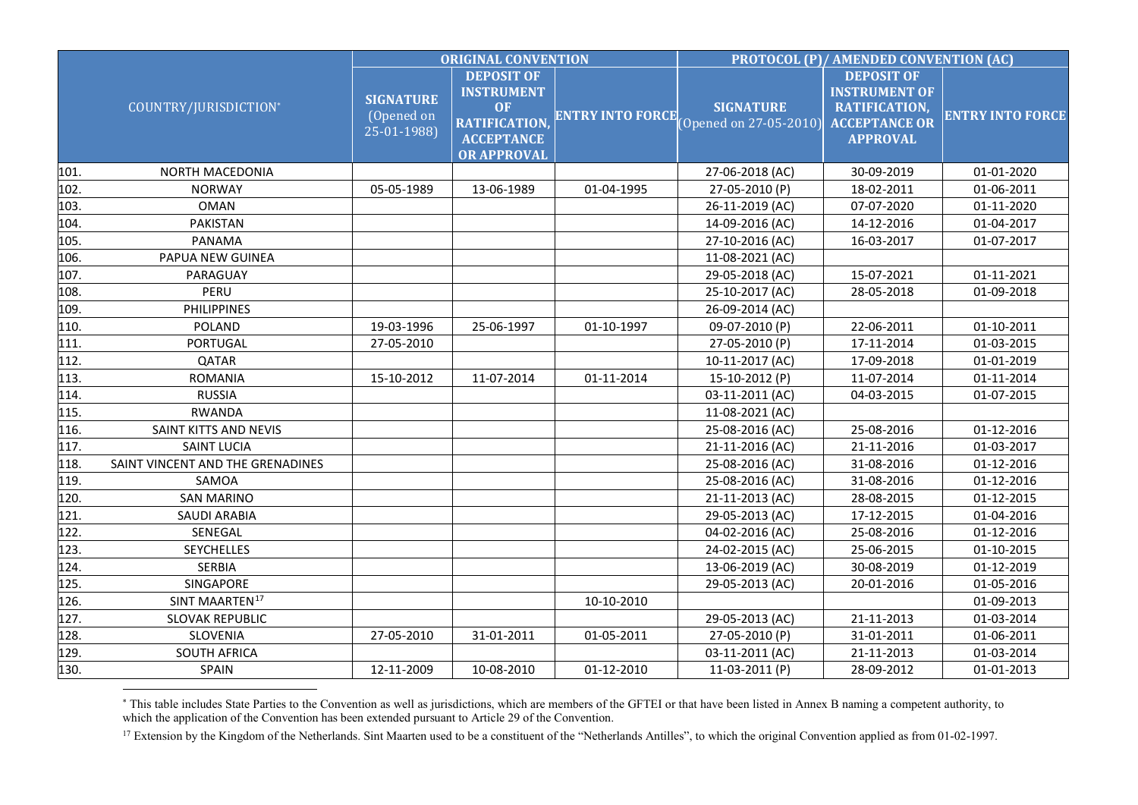<span id="page-4-0"></span>

|      |                                  | <b>ORIGINAL CONVENTION</b>                    |                                                                                                                       |                         | <b>PROTOCOL (P)/ AMENDED CONVENTION (AC)</b> |                                                                                                       |                         |
|------|----------------------------------|-----------------------------------------------|-----------------------------------------------------------------------------------------------------------------------|-------------------------|----------------------------------------------|-------------------------------------------------------------------------------------------------------|-------------------------|
|      | COUNTRY/JURISDICTION*            | <b>SIGNATURE</b><br>(Opened on<br>25-01-1988) | <b>DEPOSIT OF</b><br><b>INSTRUMENT</b><br><b>OF</b><br><b>RATIFICATION</b><br><b>ACCEPTANCE</b><br><b>OR APPROVAL</b> | <b>ENTRY INTO FORCE</b> | <b>SIGNATURE</b><br>[Opened on 27-05-2010]   | <b>DEPOSIT OF</b><br><b>INSTRUMENT OF</b><br>RATIFICATION,<br><b>ACCEPTANCE OR</b><br><b>APPROVAL</b> | <b>ENTRY INTO FORCE</b> |
| 101. | NORTH MACEDONIA                  |                                               |                                                                                                                       |                         | 27-06-2018 (AC)                              | 30-09-2019                                                                                            | 01-01-2020              |
| 102. | <b>NORWAY</b>                    | 05-05-1989                                    | 13-06-1989                                                                                                            | 01-04-1995              | 27-05-2010 (P)                               | 18-02-2011                                                                                            | 01-06-2011              |
| 103. | <b>OMAN</b>                      |                                               |                                                                                                                       |                         | 26-11-2019 (AC)                              | 07-07-2020                                                                                            | 01-11-2020              |
| 104. | PAKISTAN                         |                                               |                                                                                                                       |                         | 14-09-2016 (AC)                              | 14-12-2016                                                                                            | 01-04-2017              |
| 105. | PANAMA                           |                                               |                                                                                                                       |                         | 27-10-2016 (AC)                              | 16-03-2017                                                                                            | 01-07-2017              |
| 106. | PAPUA NEW GUINEA                 |                                               |                                                                                                                       |                         | 11-08-2021 (AC)                              |                                                                                                       |                         |
| 107. | PARAGUAY                         |                                               |                                                                                                                       |                         | 29-05-2018 (AC)                              | 15-07-2021                                                                                            | 01-11-2021              |
| 108. | PERU                             |                                               |                                                                                                                       |                         | 25-10-2017 (AC)                              | 28-05-2018                                                                                            | 01-09-2018              |
| 109. | <b>PHILIPPINES</b>               |                                               |                                                                                                                       |                         | 26-09-2014 (AC)                              |                                                                                                       |                         |
| 110. | <b>POLAND</b>                    | 19-03-1996                                    | 25-06-1997                                                                                                            | 01-10-1997              | 09-07-2010 (P)                               | 22-06-2011                                                                                            | 01-10-2011              |
| 111. | PORTUGAL                         | 27-05-2010                                    |                                                                                                                       |                         | 27-05-2010 (P)                               | 17-11-2014                                                                                            | 01-03-2015              |
| 112. | QATAR                            |                                               |                                                                                                                       |                         | 10-11-2017 (AC)                              | 17-09-2018                                                                                            | 01-01-2019              |
| 113. | <b>ROMANIA</b>                   | 15-10-2012                                    | 11-07-2014                                                                                                            | 01-11-2014              | 15-10-2012 (P)                               | 11-07-2014                                                                                            | 01-11-2014              |
| 114. | <b>RUSSIA</b>                    |                                               |                                                                                                                       |                         | 03-11-2011 (AC)                              | 04-03-2015                                                                                            | 01-07-2015              |
| 115. | <b>RWANDA</b>                    |                                               |                                                                                                                       |                         | 11-08-2021 (AC)                              |                                                                                                       |                         |
| 116. | SAINT KITTS AND NEVIS            |                                               |                                                                                                                       |                         | 25-08-2016 (AC)                              | 25-08-2016                                                                                            | 01-12-2016              |
| 117. | <b>SAINT LUCIA</b>               |                                               |                                                                                                                       |                         | 21-11-2016 (AC)                              | 21-11-2016                                                                                            | 01-03-2017              |
| 118. | SAINT VINCENT AND THE GRENADINES |                                               |                                                                                                                       |                         | 25-08-2016 (AC)                              | 31-08-2016                                                                                            | 01-12-2016              |
| 119. | SAMOA                            |                                               |                                                                                                                       |                         | 25-08-2016 (AC)                              | 31-08-2016                                                                                            | 01-12-2016              |
| 120. | <b>SAN MARINO</b>                |                                               |                                                                                                                       |                         | 21-11-2013 (AC)                              | 28-08-2015                                                                                            | 01-12-2015              |
| 121. | <b>SAUDI ARABIA</b>              |                                               |                                                                                                                       |                         | 29-05-2013 (AC)                              | 17-12-2015                                                                                            | 01-04-2016              |
| 122. | SENEGAL                          |                                               |                                                                                                                       |                         | 04-02-2016 (AC)                              | 25-08-2016                                                                                            | 01-12-2016              |
| 123. | <b>SEYCHELLES</b>                |                                               |                                                                                                                       |                         | 24-02-2015 (AC)                              | 25-06-2015                                                                                            | 01-10-2015              |
| 124. | <b>SERBIA</b>                    |                                               |                                                                                                                       |                         | 13-06-2019 (AC)                              | 30-08-2019                                                                                            | 01-12-2019              |
| 125. | SINGAPORE                        |                                               |                                                                                                                       |                         | 29-05-2013 (AC)                              | 20-01-2016                                                                                            | 01-05-2016              |
| 126. | SINT MAARTEN <sup>17</sup>       |                                               |                                                                                                                       | 10-10-2010              |                                              |                                                                                                       | 01-09-2013              |
| 127. | <b>SLOVAK REPUBLIC</b>           |                                               |                                                                                                                       |                         | 29-05-2013 (AC)                              | 21-11-2013                                                                                            | 01-03-2014              |
| 128. | SLOVENIA                         | 27-05-2010                                    | 31-01-2011                                                                                                            | 01-05-2011              | 27-05-2010 (P)                               | 31-01-2011                                                                                            | 01-06-2011              |
| 129. | <b>SOUTH AFRICA</b>              |                                               |                                                                                                                       |                         | 03-11-2011 (AC)                              | 21-11-2013                                                                                            | 01-03-2014              |
| 130. | SPAIN                            | 12-11-2009                                    | 10-08-2010                                                                                                            | 01-12-2010              | 11-03-2011 (P)                               | 28-09-2012                                                                                            | 01-01-2013              |

<sup>∗</sup> This table includes State Parties to the Convention as well as jurisdictions, which are members of the GFTEI or that have been listed in Annex B naming a competent authority, to which the application of the Convention has been extended pursuant to Article 29 of the Convention.

<u>.</u>

<sup>&</sup>lt;sup>17</sup> Extension by the Kingdom of the Netherlands. Sint Maarten used to be a constituent of the "Netherlands Antilles", to which the original Convention applied as from 01-02-1997.